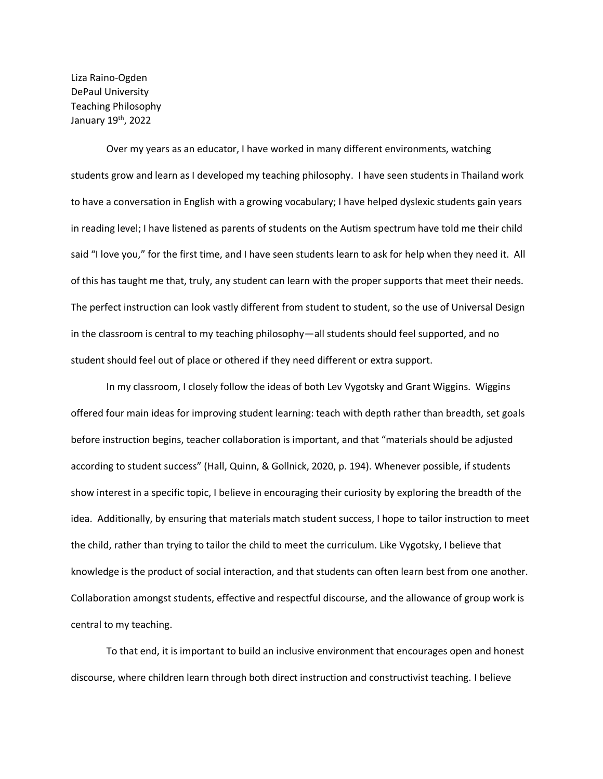Liza Raino-Ogden DePaul University Teaching Philosophy January 19th, 2022

Over my years as an educator, I have worked in many different environments, watching students grow and learn as I developed my teaching philosophy. I have seen students in Thailand work to have a conversation in English with a growing vocabulary; I have helped dyslexic students gain years in reading level; I have listened as parents of students on the Autism spectrum have told me their child said "I love you," for the first time, and I have seen students learn to ask for help when they need it. All of this has taught me that, truly, any student can learn with the proper supports that meet their needs. The perfect instruction can look vastly different from student to student, so the use of Universal Design in the classroom is central to my teaching philosophy—all students should feel supported, and no student should feel out of place or othered if they need different or extra support.

In my classroom, I closely follow the ideas of both Lev Vygotsky and Grant Wiggins. Wiggins offered four main ideas for improving student learning: teach with depth rather than breadth, set goals before instruction begins, teacher collaboration is important, and that "materials should be adjusted according to student success" (Hall, Quinn, & Gollnick, 2020, p. 194). Whenever possible, if students show interest in a specific topic, I believe in encouraging their curiosity by exploring the breadth of the idea. Additionally, by ensuring that materials match student success, I hope to tailor instruction to meet the child, rather than trying to tailor the child to meet the curriculum. Like Vygotsky, I believe that knowledge is the product of social interaction, and that students can often learn best from one another. Collaboration amongst students, effective and respectful discourse, and the allowance of group work is central to my teaching.

To that end, it is important to build an inclusive environment that encourages open and honest discourse, where children learn through both direct instruction and constructivist teaching. I believe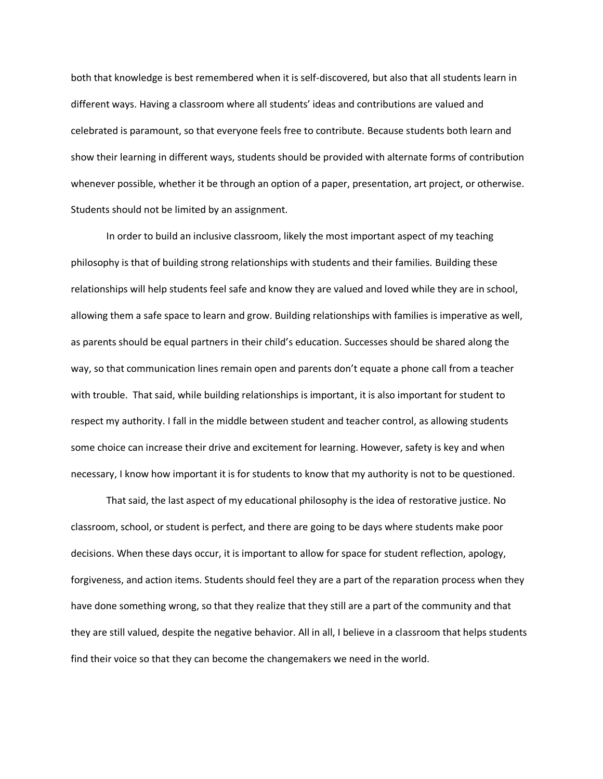both that knowledge is best remembered when it is self-discovered, but also that all students learn in different ways. Having a classroom where all students' ideas and contributions are valued and celebrated is paramount, so that everyone feels free to contribute. Because students both learn and show their learning in different ways, students should be provided with alternate forms of contribution whenever possible, whether it be through an option of a paper, presentation, art project, or otherwise. Students should not be limited by an assignment.

In order to build an inclusive classroom, likely the most important aspect of my teaching philosophy is that of building strong relationships with students and their families. Building these relationships will help students feel safe and know they are valued and loved while they are in school, allowing them a safe space to learn and grow. Building relationships with families is imperative as well, as parents should be equal partners in their child's education. Successes should be shared along the way, so that communication lines remain open and parents don't equate a phone call from a teacher with trouble. That said, while building relationships is important, it is also important for student to respect my authority. I fall in the middle between student and teacher control, as allowing students some choice can increase their drive and excitement for learning. However, safety is key and when necessary, I know how important it is for students to know that my authority is not to be questioned.

That said, the last aspect of my educational philosophy is the idea of restorative justice. No classroom, school, or student is perfect, and there are going to be days where students make poor decisions. When these days occur, it is important to allow for space for student reflection, apology, forgiveness, and action items. Students should feel they are a part of the reparation process when they have done something wrong, so that they realize that they still are a part of the community and that they are still valued, despite the negative behavior. All in all, I believe in a classroom that helps students find their voice so that they can become the changemakers we need in the world.